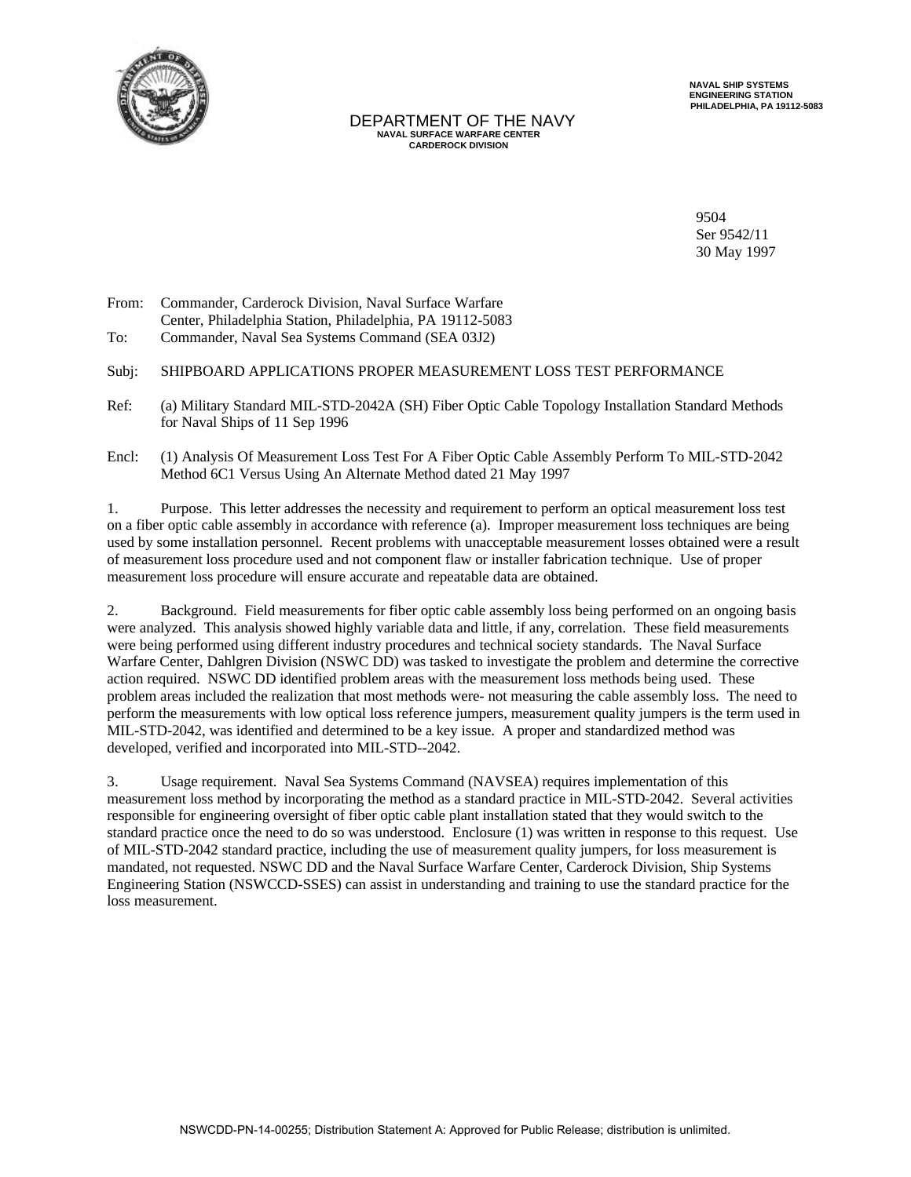

#### DEPARTMENT OF THE NAVY  **NAVAL SURFACE WARFARE CENTER CARDEROCK DIVISION**

 **NAVAL SHIP SYSTEMS ENGINEERING STATION PHILADELPHIA, PA 19112-5083**

9504 Ser 9542/11 30 May 1997

From: Commander, Carderock Division, Naval Surface Warfare Center, Philadelphia Station, Philadelphia, PA 19112-5083 To: Commander, Naval Sea Systems Command (SEA 03J2)

### Subj: SHIPBOARD APPLICATIONS PROPER MEASUREMENT LOSS TEST PERFORMANCE

- Ref: (a) Military Standard MIL-STD-2042A (SH) Fiber Optic Cable Topology Installation Standard Methods for Naval Ships of 11 Sep 1996
- Encl: (1) Analysis Of Measurement Loss Test For A Fiber Optic Cable Assembly Perform To MIL-STD-2042 Method 6C1 Versus Using An Alternate Method dated 21 May 1997

1. Purpose. This letter addresses the necessity and requirement to perform an optical measurement loss test on a fiber optic cable assembly in accordance with reference (a). Improper measurement loss techniques are being used by some installation personnel. Recent problems with unacceptable measurement losses obtained were a result of measurement loss procedure used and not component flaw or installer fabrication technique. Use of proper measurement loss procedure will ensure accurate and repeatable data are obtained.

2. Background. Field measurements for fiber optic cable assembly loss being performed on an ongoing basis were analyzed. This analysis showed highly variable data and little, if any, correlation. These field measurements were being performed using different industry procedures and technical society standards. The Naval Surface Warfare Center, Dahlgren Division (NSWC DD) was tasked to investigate the problem and determine the corrective action required. NSWC DD identified problem areas with the measurement loss methods being used. These problem areas included the realization that most methods were- not measuring the cable assembly loss. The need to perform the measurements with low optical loss reference jumpers, measurement quality jumpers is the term used in MIL-STD-2042, was identified and determined to be a key issue. A proper and standardized method was developed, verified and incorporated into MIL-STD--2042.

3. Usage requirement. Naval Sea Systems Command (NAVSEA) requires implementation of this measurement loss method by incorporating the method as a standard practice in MIL-STD-2042. Several activities responsible for engineering oversight of fiber optic cable plant installation stated that they would switch to the standard practice once the need to do so was understood. Enclosure (1) was written in response to this request. Use of MIL-STD-2042 standard practice, including the use of measurement quality jumpers, for loss measurement is mandated, not requested. NSWC DD and the Naval Surface Warfare Center, Carderock Division, Ship Systems Engineering Station (NSWCCD-SSES) can assist in understanding and training to use the standard practice for the loss measurement.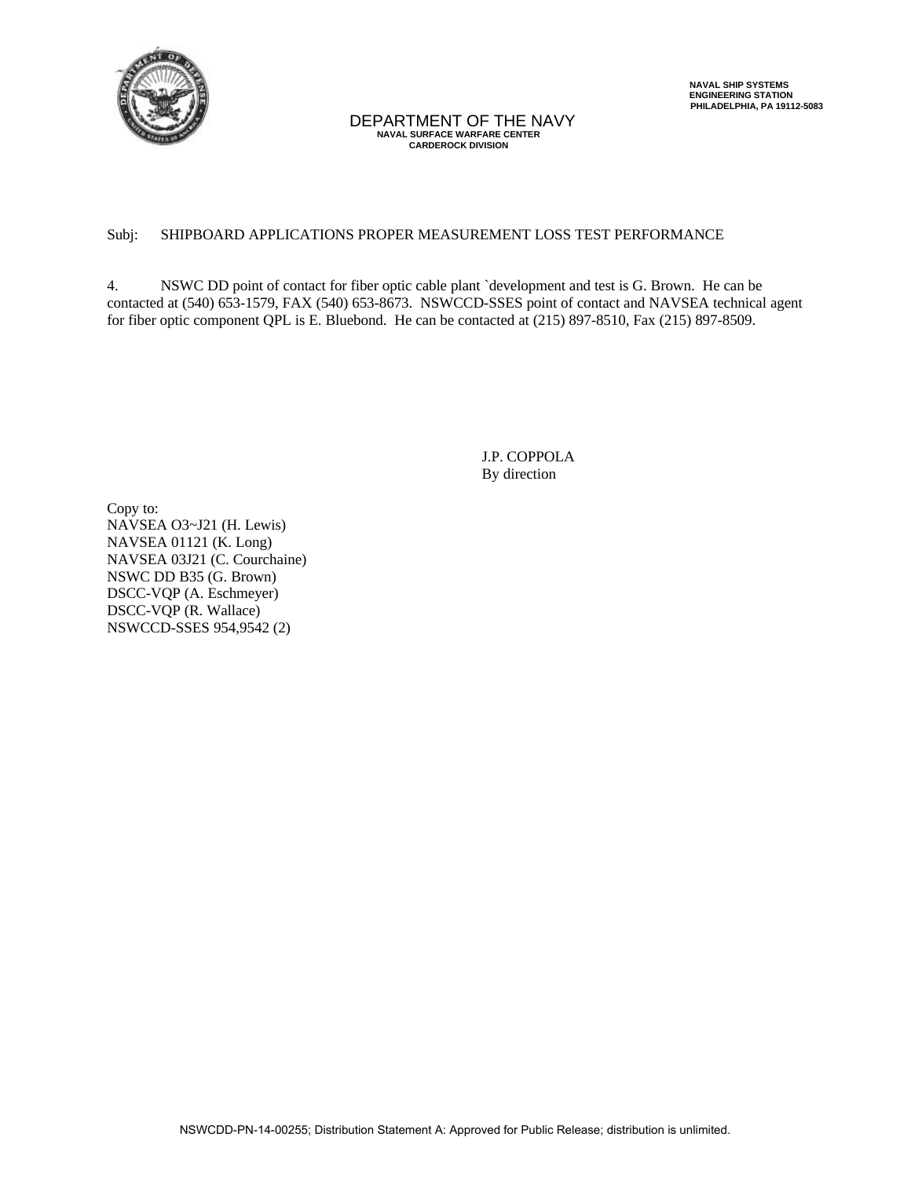

# DEPARTMENT OF THE NAVY  **NAVAL SURFACE WARFARE CENTER CARDEROCK DIVISION**

## Subj: SHIPBOARD APPLICATIONS PROPER MEASUREMENT LOSS TEST PERFORMANCE

4. NSWC DD point of contact for fiber optic cable plant `development and test is G. Brown. He can be contacted at (540) 653-1579, FAX (540) 653-8673. NSWCCD-SSES point of contact and NAVSEA technical agent for fiber optic component QPL is E. Bluebond. He can be contacted at (215) 897-8510, Fax (215) 897-8509.

> J.P. COPPOLA By direction

Copy to: NAVSEA O3~J21 (H. Lewis) NAVSEA 01121 (K. Long) NAVSEA 03J21 (C. Courchaine) NSWC DD B35 (G. Brown) DSCC-VQP (A. Eschmeyer) DSCC-VQP (R. Wallace) NSWCCD-SSES 954,9542 (2)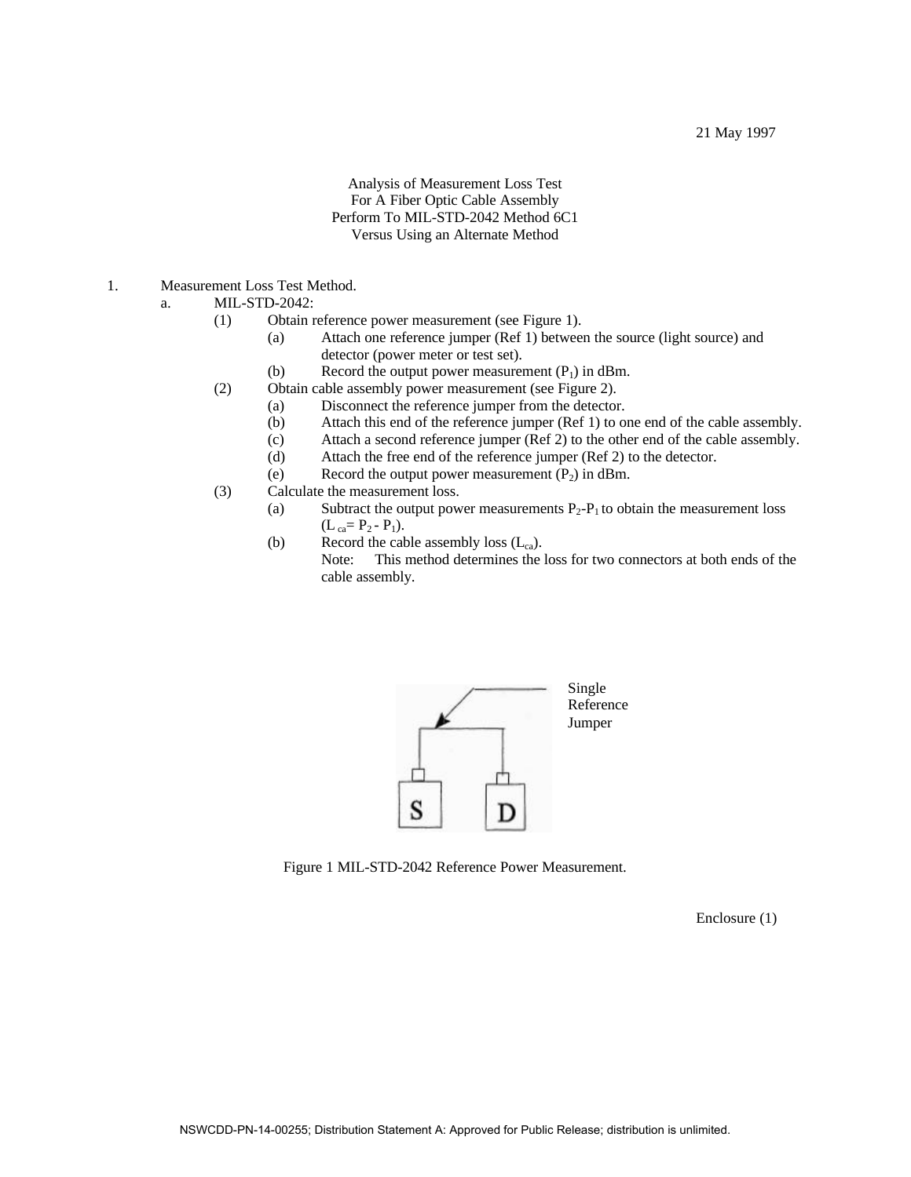Analysis of Measurement Loss Test For A Fiber Optic Cable Assembly Perform To MIL-STD-2042 Method 6C1 Versus Using an Alternate Method

- 1. Measurement Loss Test Method.
	- a. MIL-STD-2042:
		- (1) Obtain reference power measurement (see Figure 1).
			- (a) Attach one reference jumper (Ref 1) between the source (light source) and detector (power meter or test set).
			- (b) Record the output power measurement  $(P_1)$  in dBm.
		- (2) Obtain cable assembly power measurement (see Figure 2).
			- (a) Disconnect the reference jumper from the detector.
				- (b) Attach this end of the reference jumper (Ref 1) to one end of the cable assembly.
				- (c) Attach a second reference jumper (Ref 2) to the other end of the cable assembly.<br>
				(d) Attach the free end of the reference jumper (Ref 2) to the detector.
			- Attach the free end of the reference jumper (Ref 2) to the detector.
			- (e) Record the output power measurement  $(P_2)$  in dBm.
		- (3) Calculate the measurement loss.
			- (a) Subtract the output power measurements  $P_2-P_1$  to obtain the measurement loss  $(L_{ca} = P_2 - P_1).$ 
				- (b) Record the cable assembly loss  $(L_{ca})$ .

Note: This method determines the loss for two connectors at both ends of the cable assembly.



Figure 1 MIL-STD-2042 Reference Power Measurement.

Enclosure (1)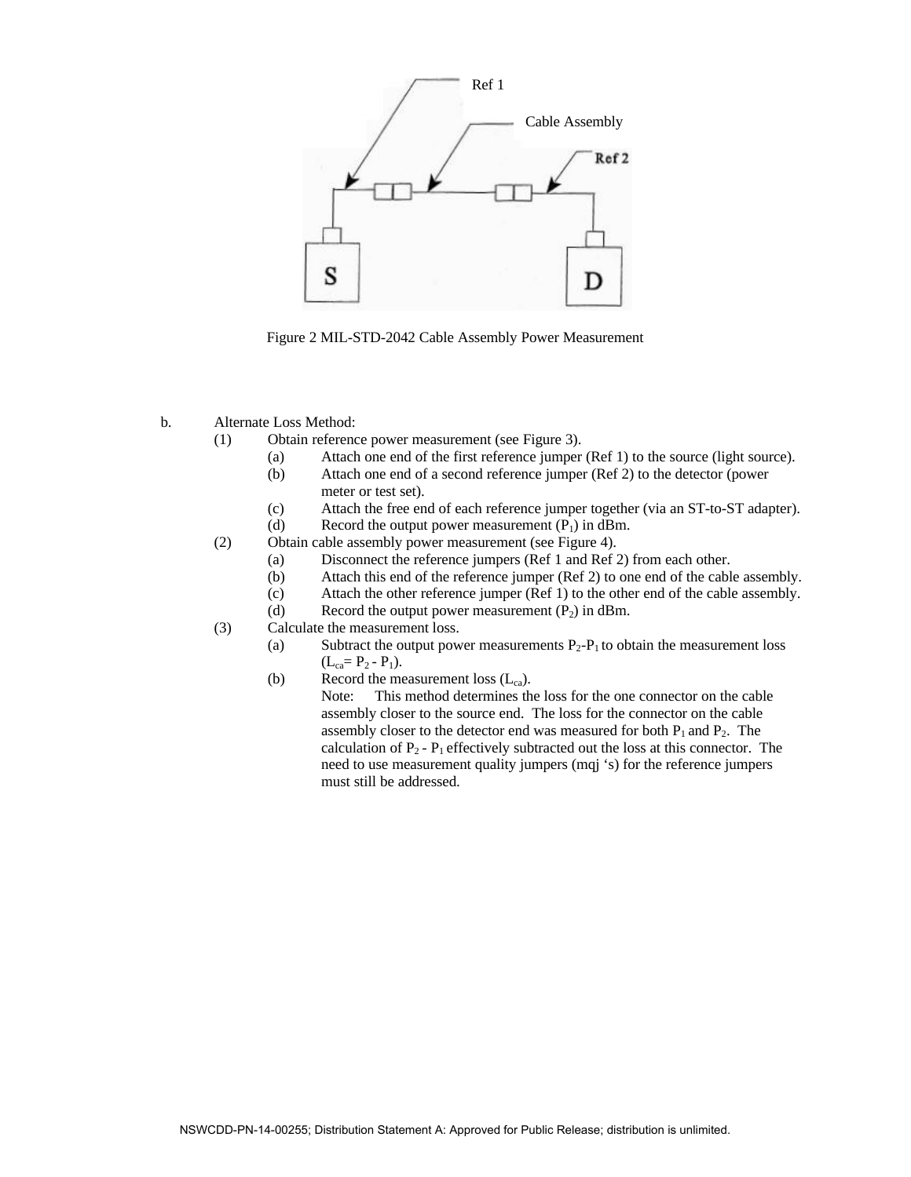

Figure 2 MIL-STD-2042 Cable Assembly Power Measurement

- b. Alternate Loss Method:
	- (1) Obtain reference power measurement (see Figure 3).
		- (a) Attach one end of the first reference jumper (Ref 1) to the source (light source).
		- (b) Attach one end of a second reference jumper (Ref 2) to the detector (power meter or test set).
		- (c) Attach the free end of each reference jumper together (via an ST-to-ST adapter).
		- (d) Record the output power measurement  $(P_1)$  in dBm.
	- (2) Obtain cable assembly power measurement (see Figure 4).
		- (a) Disconnect the reference jumpers (Ref 1 and Ref 2) from each other.
		- (b) Attach this end of the reference jumper (Ref 2) to one end of the cable assembly.
		- (c) Attach the other reference jumper (Ref 1) to the other end of the cable assembly.
		- (d) Record the output power measurement  $(P_2)$  in dBm.
	- (3) Calculate the measurement loss.
		- (a) Subtract the output power measurements  $P_2 P_1$  to obtain the measurement loss  $(L_{ca} = P_2 - P_1).$
		- (b) Record the measurement loss  $(L_{ca})$ .

Note: This method determines the loss for the one connector on the cable assembly closer to the source end. The loss for the connector on the cable assembly closer to the detector end was measured for both  $P_1$  and  $P_2$ . The calculation of  $P_2$  -  $P_1$  effectively subtracted out the loss at this connector. The need to use measurement quality jumpers (mqj 's) for the reference jumpers must still be addressed.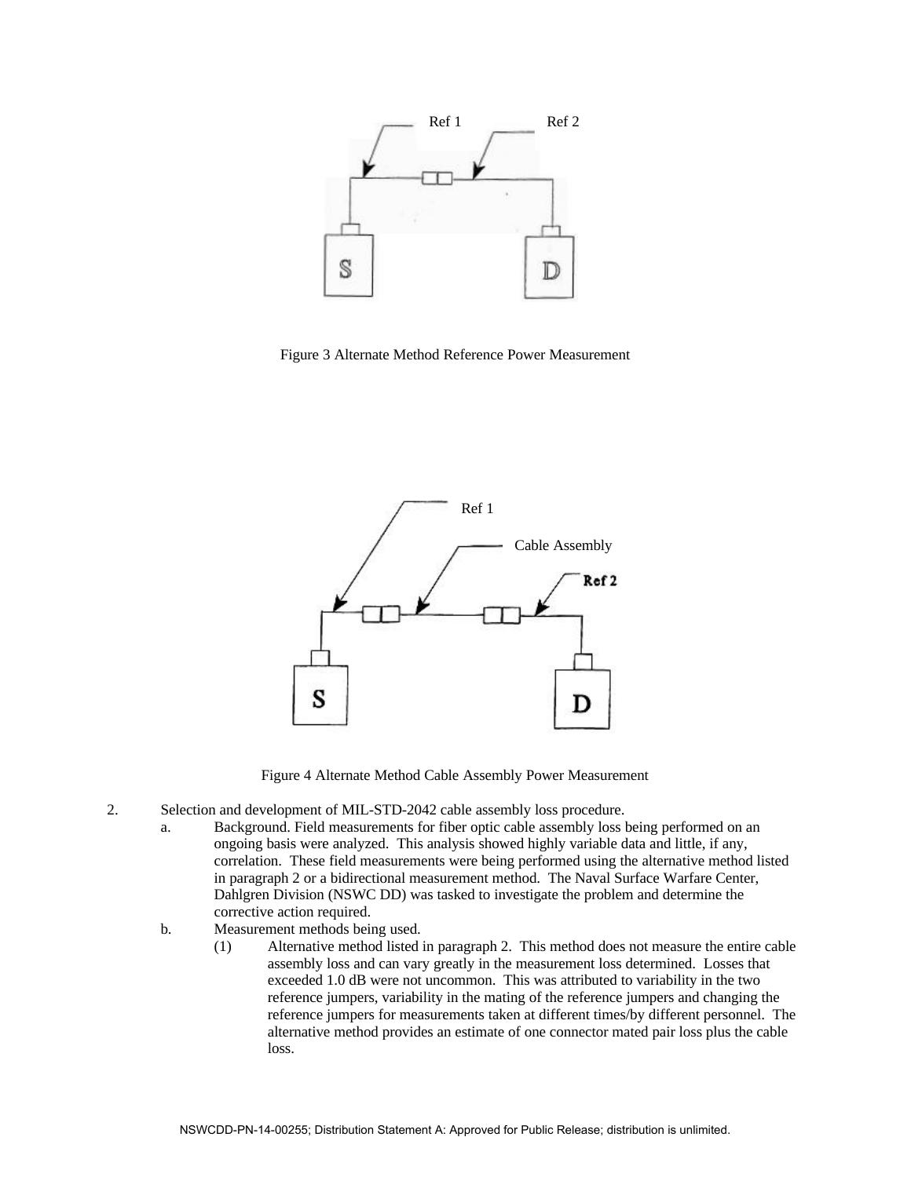

Figure 3 Alternate Method Reference Power Measurement



Figure 4 Alternate Method Cable Assembly Power Measurement

- 2. Selection and development of MIL-STD-2042 cable assembly loss procedure.
	- a. Background. Field measurements for fiber optic cable assembly loss being performed on an ongoing basis were analyzed. This analysis showed highly variable data and little, if any, correlation. These field measurements were being performed using the alternative method listed in paragraph 2 or a bidirectional measurement method. The Naval Surface Warfare Center, Dahlgren Division (NSWC DD) was tasked to investigate the problem and determine the corrective action required.
	- b. Measurement methods being used.
		- (1) Alternative method listed in paragraph 2. This method does not measure the entire cable assembly loss and can vary greatly in the measurement loss determined. Losses that exceeded 1.0 dB were not uncommon. This was attributed to variability in the two reference jumpers, variability in the mating of the reference jumpers and changing the reference jumpers for measurements taken at different times/by different personnel. The alternative method provides an estimate of one connector mated pair loss plus the cable loss.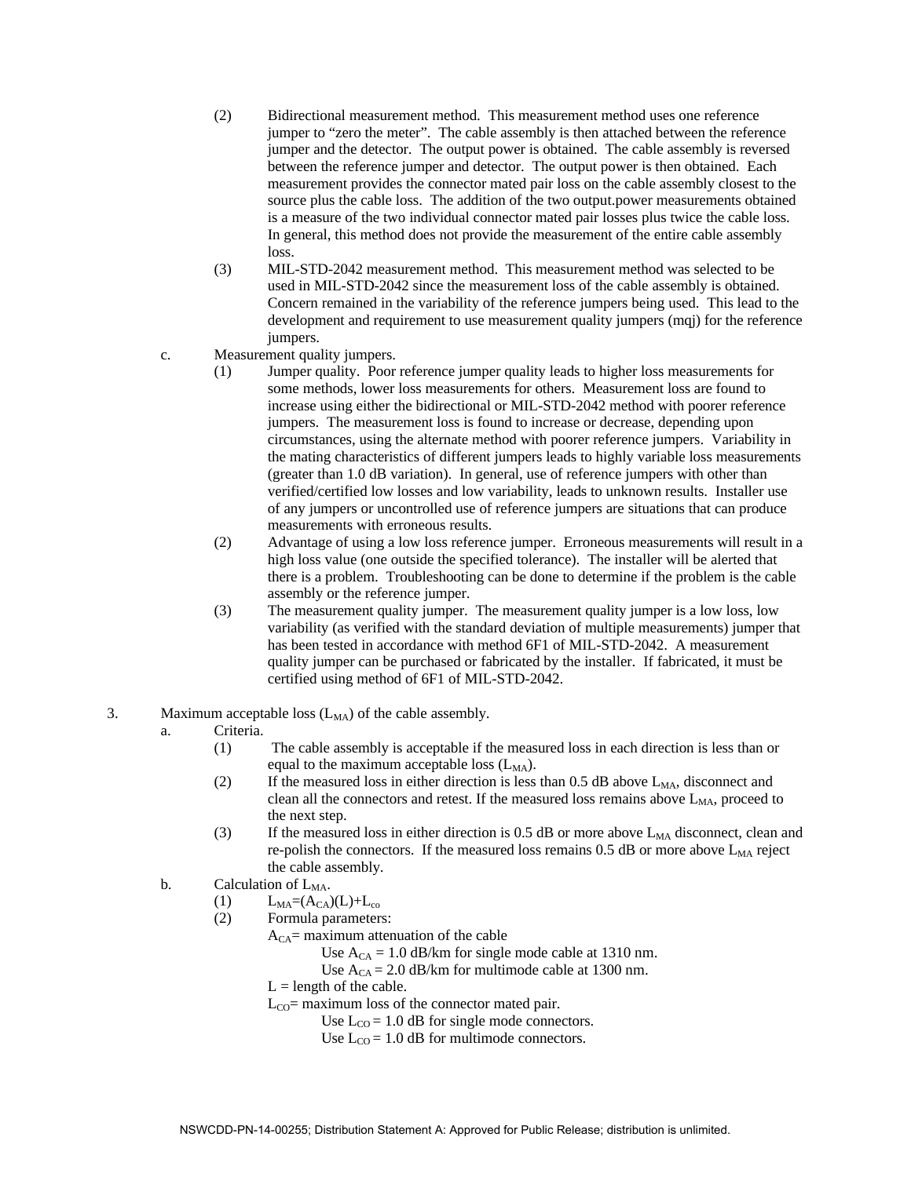- (2) Bidirectional measurement method. This measurement method uses one reference jumper to "zero the meter". The cable assembly is then attached between the reference jumper and the detector. The output power is obtained. The cable assembly is reversed between the reference jumper and detector. The output power is then obtained. Each measurement provides the connector mated pair loss on the cable assembly closest to the source plus the cable loss. The addition of the two output.power measurements obtained is a measure of the two individual connector mated pair losses plus twice the cable loss. In general, this method does not provide the measurement of the entire cable assembly loss.
- (3) MIL-STD-2042 measurement method. This measurement method was selected to be used in MIL-STD-2042 since the measurement loss of the cable assembly is obtained. Concern remained in the variability of the reference jumpers being used. This lead to the development and requirement to use measurement quality jumpers (mqj) for the reference jumpers.
- c. Measurement quality jumpers.
	- (1) Jumper quality. Poor reference jumper quality leads to higher loss measurements for some methods, lower loss measurements for others. Measurement loss are found to increase using either the bidirectional or MIL-STD-2042 method with poorer reference jumpers. The measurement loss is found to increase or decrease, depending upon circumstances, using the alternate method with poorer reference jumpers. Variability in the mating characteristics of different jumpers leads to highly variable loss measurements (greater than 1.0 dB variation). In general, use of reference jumpers with other than verified/certified low losses and low variability, leads to unknown results. Installer use of any jumpers or uncontrolled use of reference jumpers are situations that can produce measurements with erroneous results.
	- (2) Advantage of using a low loss reference jumper. Erroneous measurements will result in a high loss value (one outside the specified tolerance). The installer will be alerted that there is a problem. Troubleshooting can be done to determine if the problem is the cable assembly or the reference jumper.
	- (3) The measurement quality jumper. The measurement quality jumper is a low loss, low variability (as verified with the standard deviation of multiple measurements) jumper that has been tested in accordance with method 6F1 of MIL-STD-2042. A measurement quality jumper can be purchased or fabricated by the installer. If fabricated, it must be certified using method of 6F1 of MIL-STD-2042.
- 3. Maximum acceptable loss  $(L_{MA})$  of the cable assembly.

## a. Criteria.

- (1) The cable assembly is acceptable if the measured loss in each direction is less than or equal to the maximum acceptable loss  $(L_{MA})$ .
- (2) If the measured loss in either direction is less than 0.5 dB above  $L_{MA}$ , disconnect and clean all the connectors and retest. If the measured loss remains above  $L_{MA}$ , proceed to the next step.
- (3) If the measured loss in either direction is  $0.5$  dB or more above  $L_{MA}$  disconnect, clean and re-polish the connectors. If the measured loss remains  $0.5$  dB or more above  $L_{MA}$  reject the cable assembly.
- b. Calculation of  $L_{MA}$ .
	- $(L)$   $L_{\text{MA}} = (A_{\text{CA}})(L) + L_{\text{co}}$
	- (2) Formula parameters:
		- $A_{CA}$ = maximum attenuation of the cable
			- Use  $A_{CA} = 1.0$  dB/km for single mode cable at 1310 nm.
			- Use  $A_{CA} = 2.0$  dB/km for multimode cable at 1300 nm.
			- $L =$  length of the cable.
			- $L_{CO}$ = maximum loss of the connector mated pair.
				- Use  $L_{CO} = 1.0$  dB for single mode connectors.
				- Use  $L_{CO} = 1.0$  dB for multimode connectors.